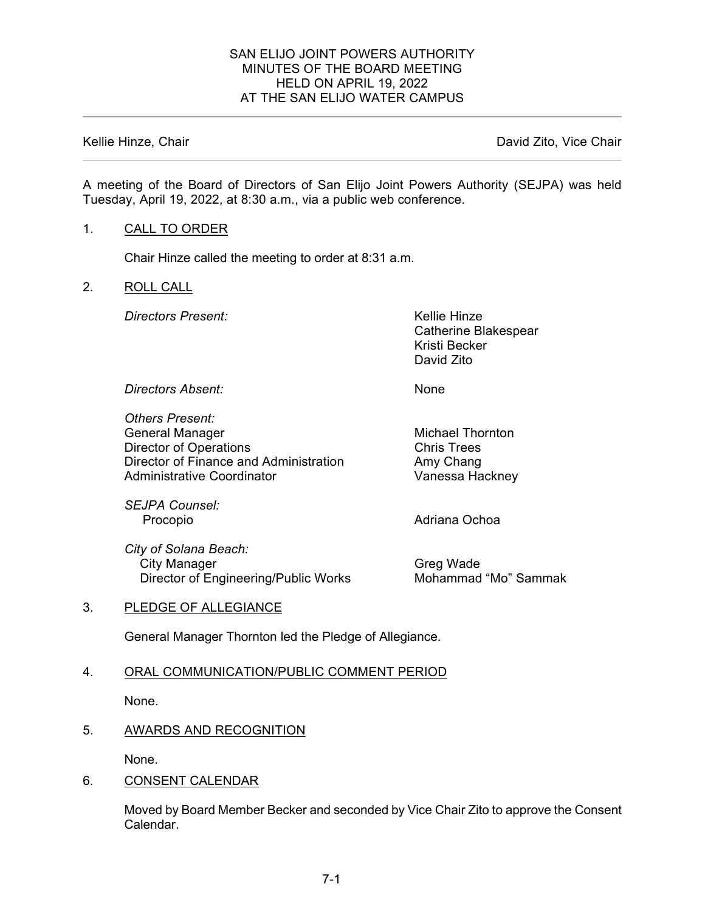## SAN ELIJO JOINT POWERS AUTHORITY MINUTES OF THE BOARD MEETING HELD ON APRIL 19, 2022 AT THE SAN ELIJO WATER CAMPUS

Kellie Hinze, Chair **David Zito, Vice Chair** David Zito, Vice Chair

A meeting of the Board of Directors of San Elijo Joint Powers Authority (SEJPA) was held Tuesday, April 19, 2022, at 8:30 a.m., via a public web conference.

## 1. CALL TO ORDER

Chair Hinze called the meeting to order at 8:31 a.m.

## 2. ROLL CALL

**Directors Present:** Kellie Hinze

Catherine Blakespear Kristi Becker David Zito

*Directors Absent:* None

*Others Present:* General Manager **Michael Thornton** Director of Operations **Chris Trees** Director of Finance and Administration Amy Chang Administrative Coordinator

*SEJPA Counsel:*

*City of Solana Beach:* City Manager **Greg Wade** Director of Engineering/Public Works Mohammad "Mo" Sammak

Adriana Ochoa

# 3. PLEDGE OF ALLEGIANCE

General Manager Thornton led the Pledge of Allegiance.

# 4. ORAL COMMUNICATION/PUBLIC COMMENT PERIOD

None.

# 5. AWARDS AND RECOGNITION

None.

#### 6. CONSENT CALENDAR

Moved by Board Member Becker and seconded by Vice Chair Zito to approve the Consent Calendar.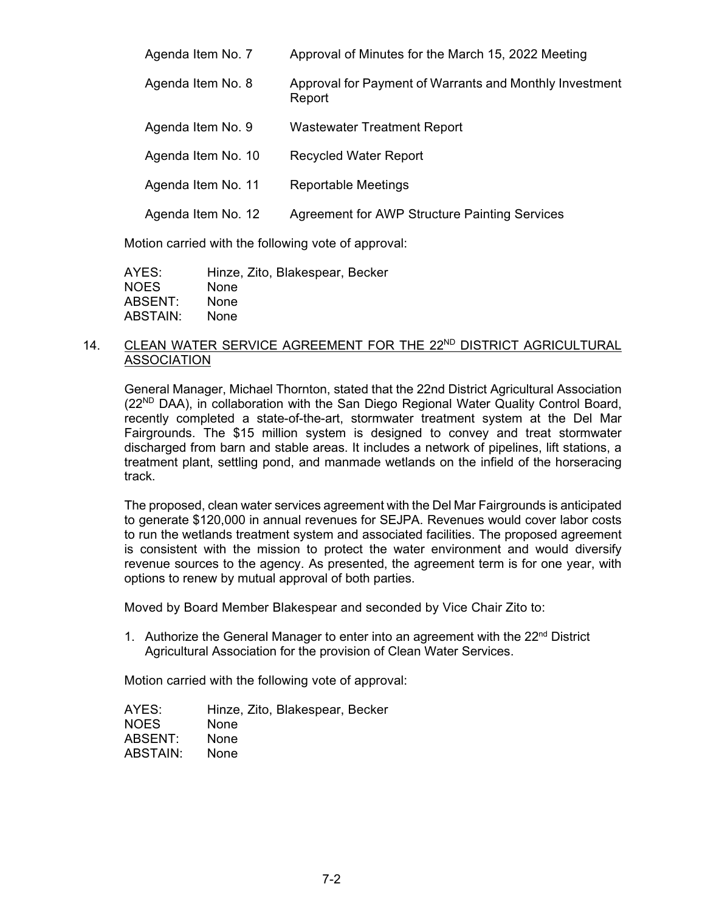| Agenda Item No. 7  | Approval of Minutes for the March 15, 2022 Meeting                |
|--------------------|-------------------------------------------------------------------|
| Agenda Item No. 8  | Approval for Payment of Warrants and Monthly Investment<br>Report |
| Agenda Item No. 9  | <b>Wastewater Treatment Report</b>                                |
| Agenda Item No. 10 | <b>Recycled Water Report</b>                                      |
| Agenda Item No. 11 | <b>Reportable Meetings</b>                                        |
| Agenda Item No. 12 | <b>Agreement for AWP Structure Painting Services</b>              |

Motion carried with the following vote of approval:

| AYES:    | Hinze, Zito, Blakespear, Becker |
|----------|---------------------------------|
| NOES.    | <b>None</b>                     |
| ABSENT:  | <b>None</b>                     |
| ABSTAIN: | <b>None</b>                     |

## 14. CLEAN WATER SERVICE AGREEMENT FOR THE 22<sup>ND</sup> DISTRICT AGRICULTURAL ASSOCIATION

General Manager, Michael Thornton, stated that the 22nd District Agricultural Association  $(22^{ND}$  DAA), in collaboration with the San Diego Regional Water Quality Control Board, recently completed a state-of-the-art, stormwater treatment system at the Del Mar Fairgrounds. The \$15 million system is designed to convey and treat stormwater discharged from barn and stable areas. It includes a network of pipelines, lift stations, a treatment plant, settling pond, and manmade wetlands on the infield of the horseracing track.

The proposed, clean water services agreement with the Del Mar Fairgrounds is anticipated to generate \$120,000 in annual revenues for SEJPA. Revenues would cover labor costs to run the wetlands treatment system and associated facilities. The proposed agreement is consistent with the mission to protect the water environment and would diversify revenue sources to the agency. As presented, the agreement term is for one year, with options to renew by mutual approval of both parties.

Moved by Board Member Blakespear and seconded by Vice Chair Zito to:

1. Authorize the General Manager to enter into an agreement with the  $22<sup>nd</sup>$  District Agricultural Association for the provision of Clean Water Services.

Motion carried with the following vote of approval:

| AYES:       | Hinze, Zito, Blakespear, Becker |
|-------------|---------------------------------|
| <b>NOES</b> | <b>None</b>                     |
| ABSENT:     | <b>None</b>                     |
| ABSTAIN:    | <b>None</b>                     |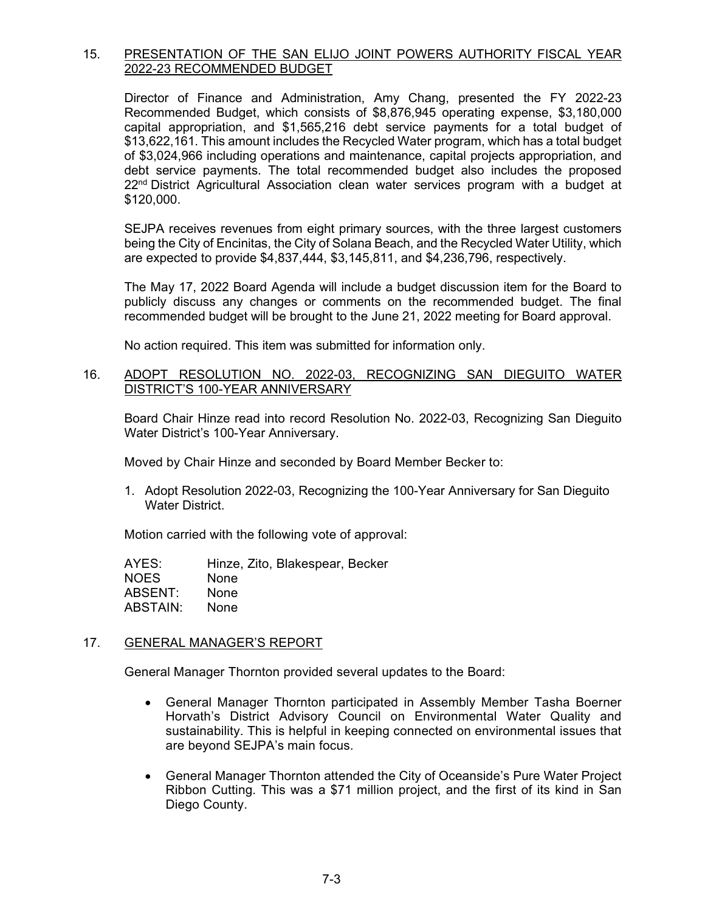# 15. PRESENTATION OF THE SAN ELIJO JOINT POWERS AUTHORITY FISCAL YEAR 2022-23 RECOMMENDED BUDGET

Director of Finance and Administration, Amy Chang, presented the FY 2022-23 Recommended Budget, which consists of \$8,876,945 operating expense, \$3,180,000 capital appropriation, and \$1,565,216 debt service payments for a total budget of \$13,622,161. This amount includes the Recycled Water program, which has a total budget of \$3,024,966 including operations and maintenance, capital projects appropriation, and debt service payments. The total recommended budget also includes the proposed  $22<sup>nd</sup>$  District Agricultural Association clean water services program with a budget at \$120,000.

SEJPA receives revenues from eight primary sources, with the three largest customers being the City of Encinitas, the City of Solana Beach, and the Recycled Water Utility, which are expected to provide \$4,837,444, \$3,145,811, and \$4,236,796, respectively.

The May 17, 2022 Board Agenda will include a budget discussion item for the Board to publicly discuss any changes or comments on the recommended budget. The final recommended budget will be brought to the June 21, 2022 meeting for Board approval.

No action required. This item was submitted for information only.

## 16. ADOPT RESOLUTION NO. 2022-03, RECOGNIZING SAN DIEGUITO WATER DISTRICT'S 100-YEAR ANNIVERSARY

Board Chair Hinze read into record Resolution No. 2022-03, Recognizing San Dieguito Water District's 100-Year Anniversary.

Moved by Chair Hinze and seconded by Board Member Becker to:

1. Adopt Resolution 2022-03, Recognizing the 100-Year Anniversary for San Dieguito Water District.

Motion carried with the following vote of approval:

| AYES:       | Hinze, Zito, Blakespear, Becker |
|-------------|---------------------------------|
| <b>NOES</b> | <b>None</b>                     |
| ABSENT:     | None                            |
| ABSTAIN:    | <b>None</b>                     |
|             |                                 |

# 17. GENERAL MANAGER'S REPORT

General Manager Thornton provided several updates to the Board:

- General Manager Thornton participated in Assembly Member Tasha Boerner Horvath's District Advisory Council on Environmental Water Quality and sustainability. This is helpful in keeping connected on environmental issues that are beyond SEJPA's main focus.
- General Manager Thornton attended the City of Oceanside's Pure Water Project Ribbon Cutting. This was a \$71 million project, and the first of its kind in San Diego County.